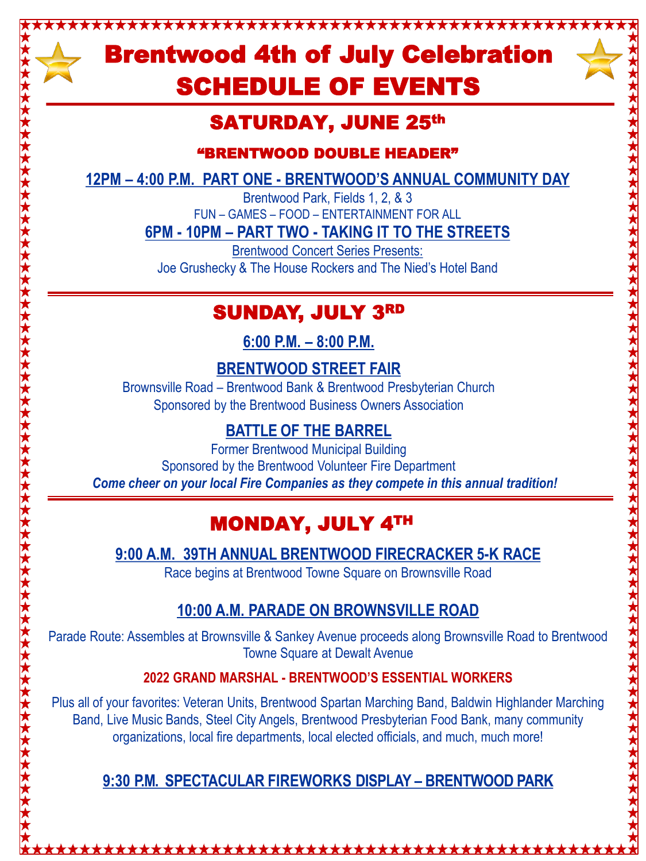# Brentwood 4th of July Celebration SCHEDULE OF EVENTS

\*\*\*\*\*\*\*\*\*\*\*\*\*\*\*\*\*\*\*



## SATURDAY, JUNE 25th

"BRENTWOOD DOUBLE HEADER"

**12PM – 4:00 P.M. PART ONE - BRENTWOOD'S ANNUAL COMMUNITY DAY**

Brentwood Park, Fields 1, 2, & 3 FUN – GAMES – FOOD – ENTERTAINMENT FOR ALL

**6PM - 10PM – PART TWO - TAKING IT TO THE STREETS**

Brentwood Concert Series Presents: Joe Grushecky & The House Rockers and The Nied's Hotel Band

## SUNDAY, JULY 3RD

**6:00 P.M. – 8:00 P.M.** 

### **BRENTWOOD STREET FAIR**

Brownsville Road – Brentwood Bank & Brentwood Presbyterian Church Sponsored by the Brentwood Business Owners Association

## **BATTLE OF THE BARREL**

Former Brentwood Municipal Building Sponsored by the Brentwood Volunteer Fire Department *Come cheer on your local Fire Companies as they compete in this annual tradition!*

## MONDAY, JULY 4TH

**9:00 A.M. 39TH ANNUAL BRENTWOOD FIRECRACKER 5-K RACE**

Race begins at Brentwood Towne Square on Brownsville Road

## **10:00 A.M. PARADE ON BROWNSVILLE ROAD**

Parade Route: Assembles at Brownsville & Sankey Avenue proceeds along Brownsville Road to Brentwood Towne Square at Dewalt Avenue

### **2022 GRAND MARSHAL - BRENTWOOD'S ESSENTIAL WORKERS**

Plus all of your favorites: Veteran Units, Brentwood Spartan Marching Band, Baldwin Highlander Marching Band, Live Music Bands, Steel City Angels, Brentwood Presbyterian Food Bank, many community organizations, local fire departments, local elected officials, and much, much more!

## **9:30 P.M. SPECTACULAR FIREWORKS DISPLAY – BRENTWOOD PARK**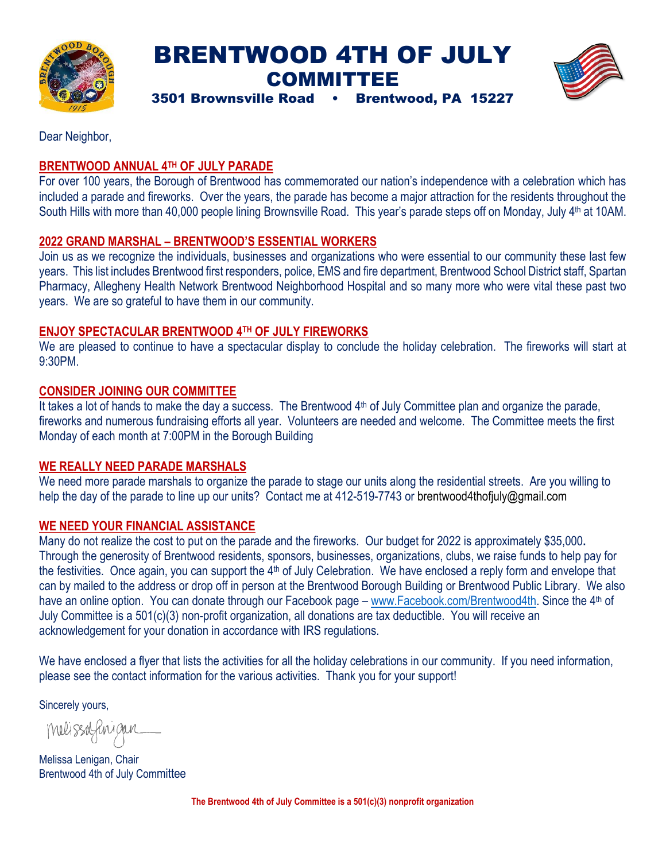

## BRENTWOOD 4TH OF JULY COMMITTEE



3501 Brownsville Road • Brentwood, PA 15227

Dear Neighbor,

### **BRENTWOOD ANNUAL 4TH OF JULY PARADE**

For over 100 years, the Borough of Brentwood has commemorated our nation's independence with a celebration which has included a parade and fireworks. Over the years, the parade has become a major attraction for the residents throughout the South Hills with more than 40,000 people lining Brownsville Road. This year's parade steps off on Monday, July 4<sup>th</sup> at 10AM.

### **2022 GRAND MARSHAL – BRENTWOOD'S ESSENTIAL WORKERS**

Join us as we recognize the individuals, businesses and organizations who were essential to our community these last few years. This list includes Brentwood first responders, police, EMS and fire department, Brentwood School District staff, Spartan Pharmacy, Allegheny Health Network Brentwood Neighborhood Hospital and so many more who were vital these past two years. We are so grateful to have them in our community.

#### **ENJOY SPECTACULAR BRENTWOOD 4TH OF JULY FIREWORKS**

We are pleased to continue to have a spectacular display to conclude the holiday celebration. The fireworks will start at 9:30PM.

### **CONSIDER JOINING OUR COMMITTEE**

It takes a lot of hands to make the day a success. The Brentwood  $4<sup>th</sup>$  of July Committee plan and organize the parade, fireworks and numerous fundraising efforts all year. Volunteers are needed and welcome. The Committee meets the first Monday of each month at 7:00PM in the Borough Building

#### **WE REALLY NEED PARADE MARSHALS**

We need more parade marshals to organize the parade to stage our units along the residential streets. Are you willing to help the day of the parade to line up our units? Contact me at 412-519-7743 or brentwood4thofjuly@gmail.com

#### **WE NEED YOUR FINANCIAL ASSISTANCE**

Many do not realize the cost to put on the parade and the fireworks. Our budget for 2022 is approximately \$35,000**.**  Through the generosity of Brentwood residents, sponsors, businesses, organizations, clubs, we raise funds to help pay for the festivities. Once again, you can support the  $4<sup>th</sup>$  of July Celebration. We have enclosed a reply form and envelope that can by mailed to the address or drop off in person at the Brentwood Borough Building or Brentwood Public Library. We also have an online option. You can donate through our Facebook page – [www.Facebook.com/Brentwood4th.](http://www.facebook.com/Brentwood4th) Since the 4<sup>th</sup> of July Committee is a 501(c)(3) non-profit organization, all donations are tax deductible. You will receive an acknowledgement for your donation in accordance with IRS regulations.

We have enclosed a flyer that lists the activities for all the holiday celebrations in our community. If you need information, please see the contact information for the various activities. Thank you for your support!

Sincerely yours,

Melissafinigan

Melissa Lenigan, Chair Brentwood 4th of July Committee

**The Brentwood 4th of July Committee is a 501(c)(3) nonprofit organization**